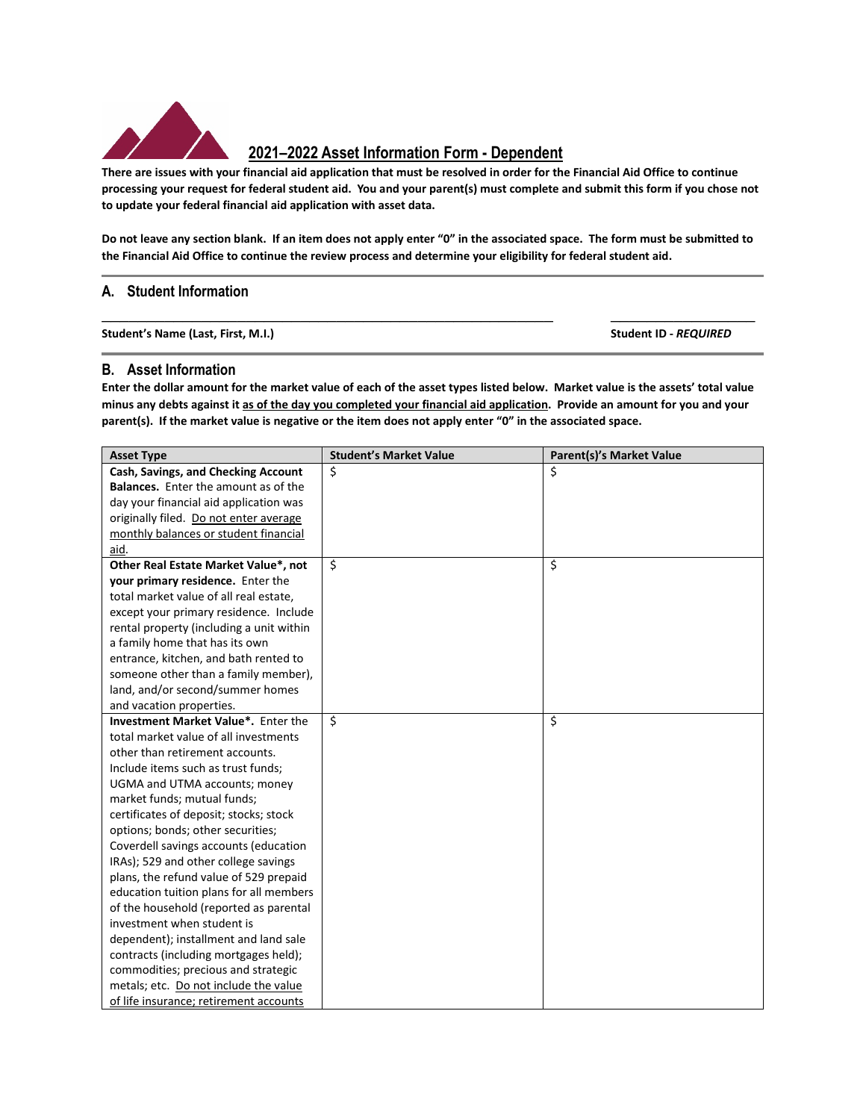

## **2021–2022 Asset Information Form - Dependent**

**There are issues with your financial aid application that must be resolved in order for the Financial Aid Office to continue processing your request for federal student aid. You and your parent(s) must complete and submit this form if you chose not to update your federal financial aid application with asset data.**

**Do not leave any section blank. If an item does not apply enter "0" in the associated space. The form must be submitted to the Financial Aid Office to continue the review process and determine your eligibility for federal student aid.** 

**\_\_\_\_\_\_\_\_\_\_\_\_\_\_\_\_\_\_\_\_\_\_\_\_\_\_\_\_\_\_\_\_\_\_\_\_\_\_\_\_\_\_\_\_\_\_\_\_\_\_ \_\_\_\_\_\_\_\_\_\_\_\_\_\_\_\_**

## **A. Student Information**

**Student's Name (Last, First, M.I.) Student ID -** *REQUIRED*

## **B. Asset Information**

**Enter the dollar amount for the market value of each of the asset types listed below. Market value is the assets' total value minus any debts against it as of the day you completed your financial aid application. Provide an amount for you and your parent(s). If the market value is negative or the item does not apply enter "0" in the associated space.** 

| <b>Asset Type</b>                           | <b>Student's Market Value</b> | <b>Parent(s)'s Market Value</b> |
|---------------------------------------------|-------------------------------|---------------------------------|
| Cash, Savings, and Checking Account         | \$                            | \$                              |
| <b>Balances.</b> Enter the amount as of the |                               |                                 |
| day your financial aid application was      |                               |                                 |
| originally filed. Do not enter average      |                               |                                 |
| monthly balances or student financial       |                               |                                 |
| aid.                                        |                               |                                 |
| Other Real Estate Market Value*, not        | \$                            | \$                              |
| your primary residence. Enter the           |                               |                                 |
| total market value of all real estate,      |                               |                                 |
| except your primary residence. Include      |                               |                                 |
| rental property (including a unit within    |                               |                                 |
| a family home that has its own              |                               |                                 |
| entrance, kitchen, and bath rented to       |                               |                                 |
| someone other than a family member),        |                               |                                 |
| land, and/or second/summer homes            |                               |                                 |
| and vacation properties.                    |                               |                                 |
| Investment Market Value*. Enter the         | \$                            | \$                              |
| total market value of all investments       |                               |                                 |
| other than retirement accounts.             |                               |                                 |
| Include items such as trust funds;          |                               |                                 |
| UGMA and UTMA accounts; money               |                               |                                 |
| market funds; mutual funds;                 |                               |                                 |
| certificates of deposit; stocks; stock      |                               |                                 |
| options; bonds; other securities;           |                               |                                 |
| Coverdell savings accounts (education       |                               |                                 |
| IRAs); 529 and other college savings        |                               |                                 |
| plans, the refund value of 529 prepaid      |                               |                                 |
| education tuition plans for all members     |                               |                                 |
| of the household (reported as parental      |                               |                                 |
| investment when student is                  |                               |                                 |
| dependent); installment and land sale       |                               |                                 |
| contracts (including mortgages held);       |                               |                                 |
| commodities; precious and strategic         |                               |                                 |
| metals; etc. Do not include the value       |                               |                                 |
| of life insurance; retirement accounts      |                               |                                 |